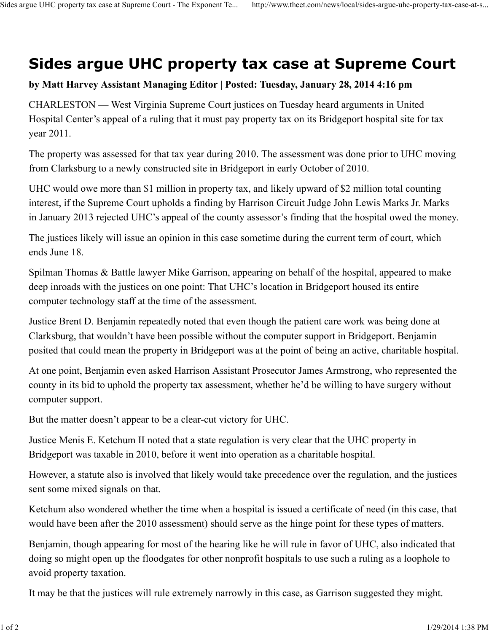## **Sides argue UHC property tax case at Supreme Court**

## **by Matt Harvey Assistant Managing Editor | Posted: Tuesday, January 28, 2014 4:16 pm**

CHARLESTON — West Virginia Supreme Court justices on Tuesday heard arguments in United Hospital Center's appeal of a ruling that it must pay property tax on its Bridgeport hospital site for tax year 2011.

The property was assessed for that tax year during 2010. The assessment was done prior to UHC moving from Clarksburg to a newly constructed site in Bridgeport in early October of 2010.

UHC would owe more than \$1 million in property tax, and likely upward of \$2 million total counting interest, if the Supreme Court upholds a finding by Harrison Circuit Judge John Lewis Marks Jr. Marks in January 2013 rejected UHC's appeal of the county assessor's finding that the hospital owed the money.

The justices likely will issue an opinion in this case sometime during the current term of court, which ends June 18.

Spilman Thomas & Battle lawyer Mike Garrison, appearing on behalf of the hospital, appeared to make deep inroads with the justices on one point: That UHC's location in Bridgeport housed its entire computer technology staff at the time of the assessment.

Justice Brent D. Benjamin repeatedly noted that even though the patient care work was being done at Clarksburg, that wouldn't have been possible without the computer support in Bridgeport. Benjamin posited that could mean the property in Bridgeport was at the point of being an active, charitable hospital.

At one point, Benjamin even asked Harrison Assistant Prosecutor James Armstrong, who represented the county in its bid to uphold the property tax assessment, whether he'd be willing to have surgery without computer support.

But the matter doesn't appear to be a clear-cut victory for UHC.

Justice Menis E. Ketchum II noted that a state regulation is very clear that the UHC property in Bridgeport was taxable in 2010, before it went into operation as a charitable hospital.

However, a statute also is involved that likely would take precedence over the regulation, and the justices sent some mixed signals on that.

Ketchum also wondered whether the time when a hospital is issued a certificate of need (in this case, that would have been after the 2010 assessment) should serve as the hinge point for these types of matters.

Benjamin, though appearing for most of the hearing like he will rule in favor of UHC, also indicated that doing so might open up the floodgates for other nonprofit hospitals to use such a ruling as a loophole to avoid property taxation.

It may be that the justices will rule extremely narrowly in this case, as Garrison suggested they might.